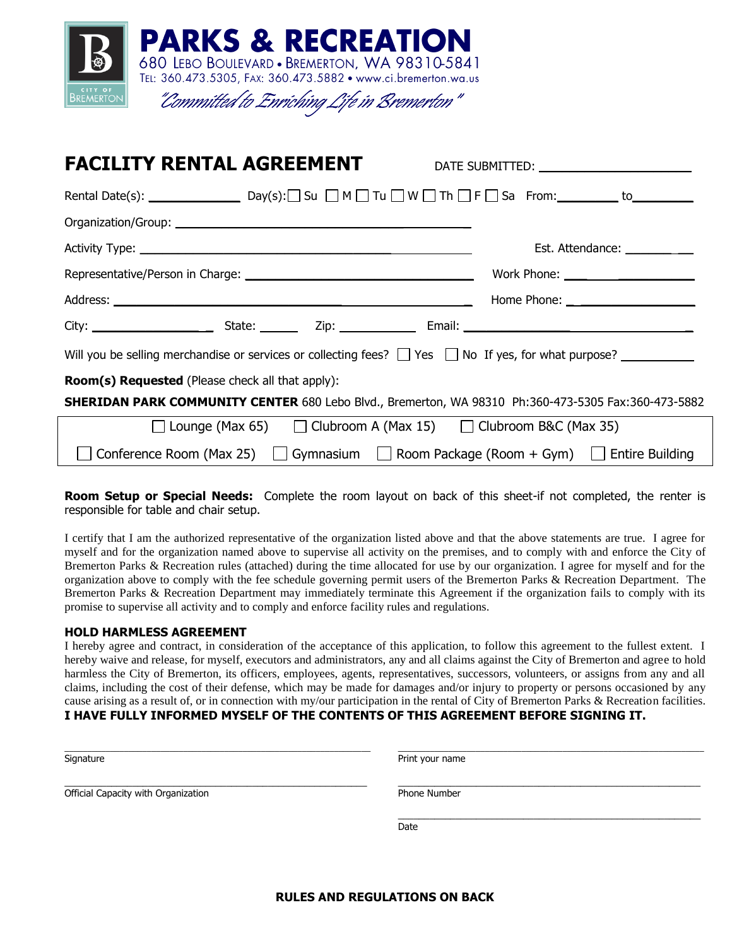

| <b>FACILITY RENTAL AGREEMENT</b>                                                                               |                               |  |  |  |
|----------------------------------------------------------------------------------------------------------------|-------------------------------|--|--|--|
|                                                                                                                |                               |  |  |  |
|                                                                                                                |                               |  |  |  |
|                                                                                                                | Est. Attendance: ____________ |  |  |  |
|                                                                                                                |                               |  |  |  |
|                                                                                                                |                               |  |  |  |
|                                                                                                                |                               |  |  |  |
| Will you be selling merchandise or services or collecting fees? $\Box$ Yes $\Box$ No If yes, for what purpose? |                               |  |  |  |
| <b>Room(s) Requested</b> (Please check all that apply):                                                        |                               |  |  |  |
| SHERIDAN PARK COMMUNITY CENTER 680 Lebo Blvd., Bremerton, WA 98310 Ph:360-473-5305 Fax:360-473-5882            |                               |  |  |  |
| $\Box$ Lounge (Max 65) $\Box$ Clubroom A (Max 15) $\Box$ Clubroom B&C (Max 35)                                 |                               |  |  |  |
| Conference Room (Max 25) $\Box$ Gymnasium $\Box$ Room Package (Room + Gym) $\Box$ Entire Building              |                               |  |  |  |

**Room Setup or Special Needs:** Complete the room layout on back of this sheet-if not completed, the renter is responsible for table and chair setup.

I certify that I am the authorized representative of the organization listed above and that the above statements are true. I agree for myself and for the organization named above to supervise all activity on the premises, and to comply with and enforce the City of Bremerton Parks & Recreation rules (attached) during the time allocated for use by our organization. I agree for myself and for the organization above to comply with the fee schedule governing permit users of the Bremerton Parks & Recreation Department. The Bremerton Parks & Recreation Department may immediately terminate this Agreement if the organization fails to comply with its promise to supervise all activity and to comply and enforce facility rules and regulations.

#### **HOLD HARMLESS AGREEMENT**

I hereby agree and contract, in consideration of the acceptance of this application, to follow this agreement to the fullest extent. I hereby waive and release, for myself, executors and administrators, any and all claims against the City of Bremerton and agree to hold harmless the City of Bremerton, its officers, employees, agents, representatives, successors, volunteers, or assigns from any and all claims, including the cost of their defense, which may be made for damages and/or injury to property or persons occasioned by any cause arising as a result of, or in connection with my/our participation in the rental of City of Bremerton Parks & Recreation facilities. **I HAVE FULLY INFORMED MYSELF OF THE CONTENTS OF THIS AGREEMENT BEFORE SIGNING IT.**

| Signature                           | Print your name |  |  |
|-------------------------------------|-----------------|--|--|
| Official Capacity with Organization | Phone Number    |  |  |
|                                     | Date            |  |  |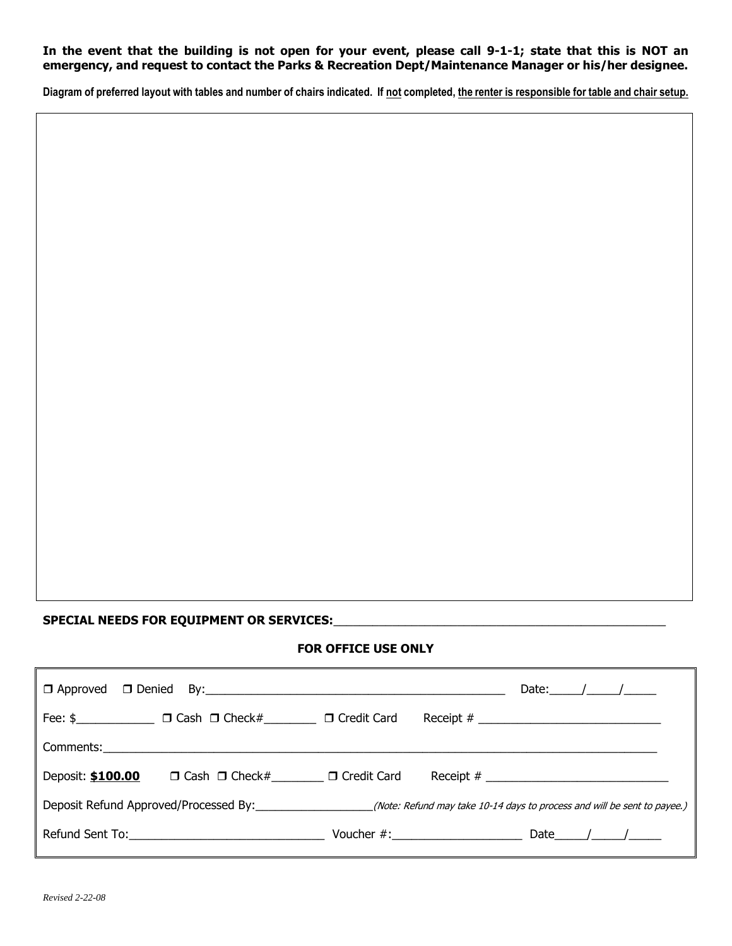## **In the event that the building is not open for your event, please call 9-1-1; state that this is NOT an emergency, and request to contact the Parks & Recreation Dept/Maintenance Manager or his/her designee.**

**Diagram of preferred layout with tables and number of chairs indicated. If not completed, the renter is responsible for table and chair setup.**

## **SPECIAL NEEDS FOR EQUIPMENT OR SERVICES:**\_\_\_\_\_\_\_\_\_\_\_\_\_\_\_\_\_\_\_\_\_\_\_\_\_\_\_\_\_\_\_\_\_\_\_\_\_\_\_\_\_\_\_\_\_\_\_\_\_\_\_

#### **FOR OFFICE USE ONLY**

|                   |                                                                  |  |                | Date: $\angle$ / / |  |                          |
|-------------------|------------------------------------------------------------------|--|----------------|--------------------|--|--------------------------|
|                   | Fee: \$_________________ □ Cash □ Check#__________ □ Credit Card |  | Receipt # $\_$ |                    |  |                          |
|                   |                                                                  |  |                |                    |  |                          |
| Deposit: \$100.00 | $\Box$ Cash $\Box$ Check# $\Box$ Credit Card                     |  | Receipt # $\_$ |                    |  |                          |
|                   |                                                                  |  |                |                    |  |                          |
|                   |                                                                  |  |                |                    |  | Date $\_\_\_\_\_\_\_\_\$ |